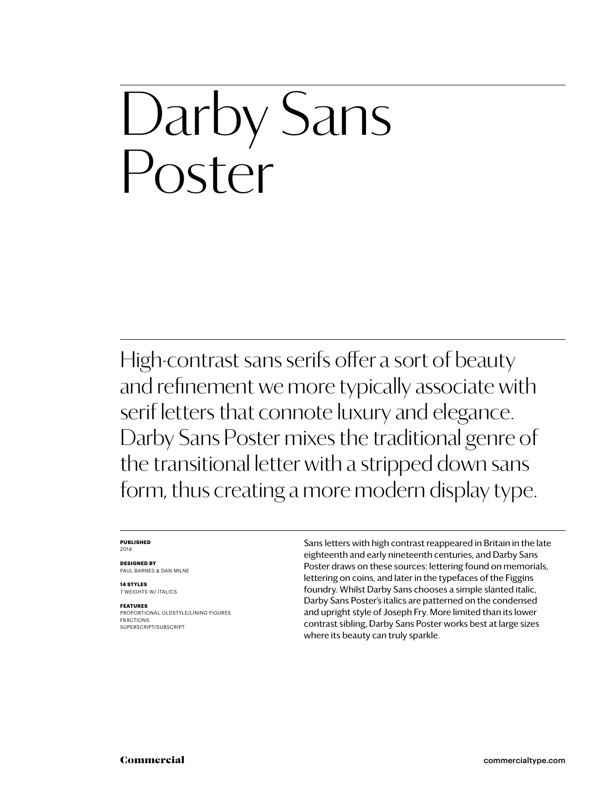### Darby Sans Poster

High-contrast sans serifs offer a sort of beauty and refinement we more typically associate with serif letters that connote luxury and elegance. Darby Sans Poster mixes the traditional genre of the transitional letter with a stripped down sans form, thus creating a more modern display type.

#### **Published** 2014

**Designed by** Paul Barnes & dan milne

**14 styles** 7 weights w/ ITALICS

**Features** PROPORTIONAL oldstyle/LINING FIGURES FRACTIONS SUPERSCRIPT/SUBSCRIPT

Sans letters with high contrast reappeared in Britain in the late eighteenth and early nineteenth centuries, and Darby Sans Poster draws on these sources: lettering found on memorials, lettering on coins, and later in the typefaces of the Figgins foundry. Whilst Darby Sans chooses a simple slanted italic, Darby Sans Poster's italics are patterned on the condensed and upright style of Joseph Fry. More limited than its lower contrast sibling, Darby Sans Poster works best at large sizes where its beauty can truly sparkle.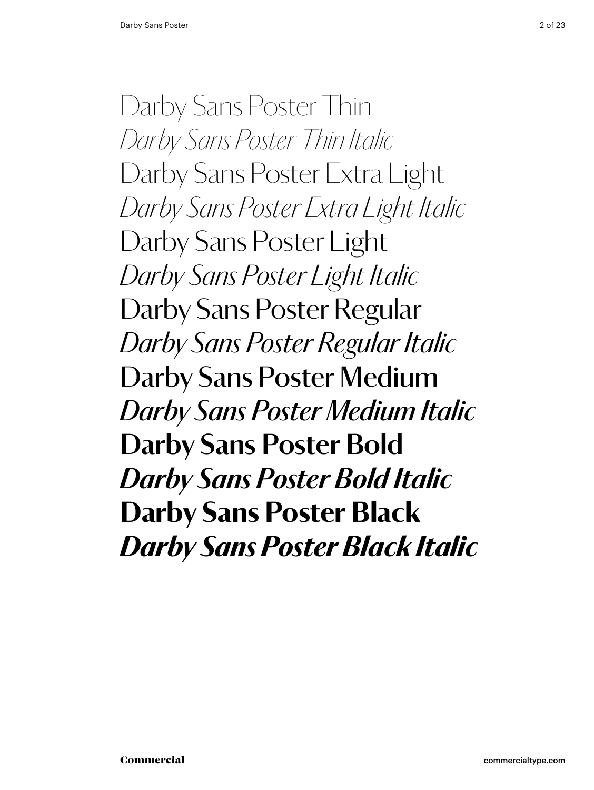Darby Sans Poster Thin *Darby Sans Poster Thin Italic* Darby Sans Poster Extra Light *Darby Sans Poster Extra Light Italic* Darby Sans Poster Light *Darby Sans Poster Light Italic* Darby Sans Poster Regular *Darby Sans Poster Regular Italic* Darby Sans Poster Medium *Darby Sans Poster Medium Italic* **Darby Sans Poster Bold** *Darby Sans Poster Bold Italic* Darby Sans Poster Black *Darby Sans Poster Black Italic*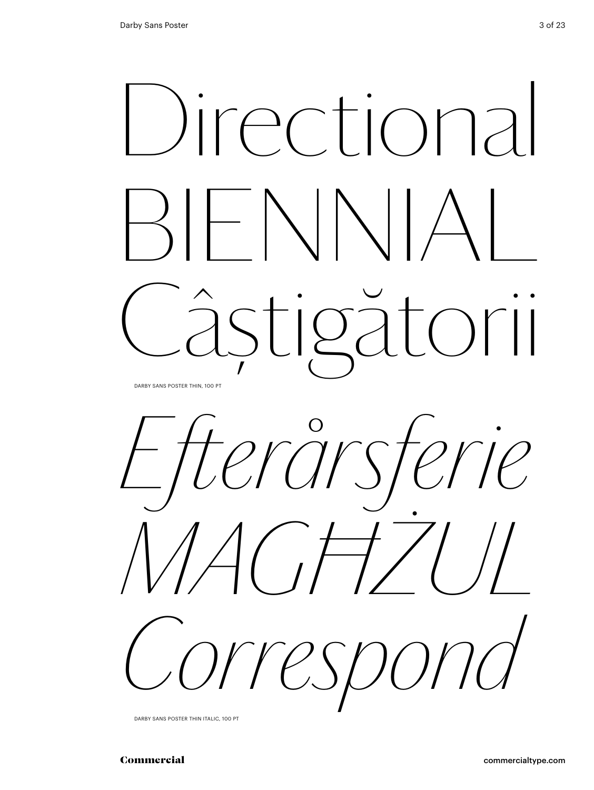





Darby Sans Poster thin italic, 100 Pt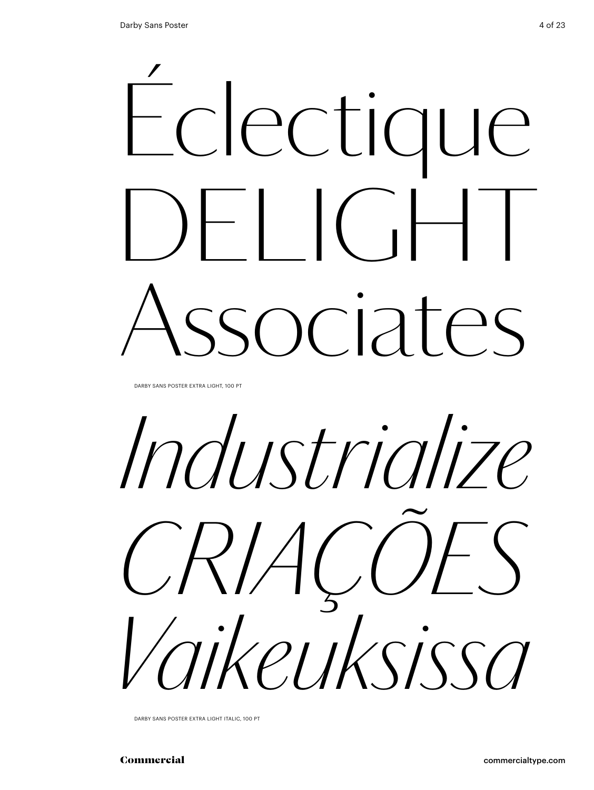

DARBY SANS POSTER EXTRA LIGHT, 100 PT

*Industrialize Criações Vaikeuksissa*

Darby Sans Poster extra light italic, 100 Pt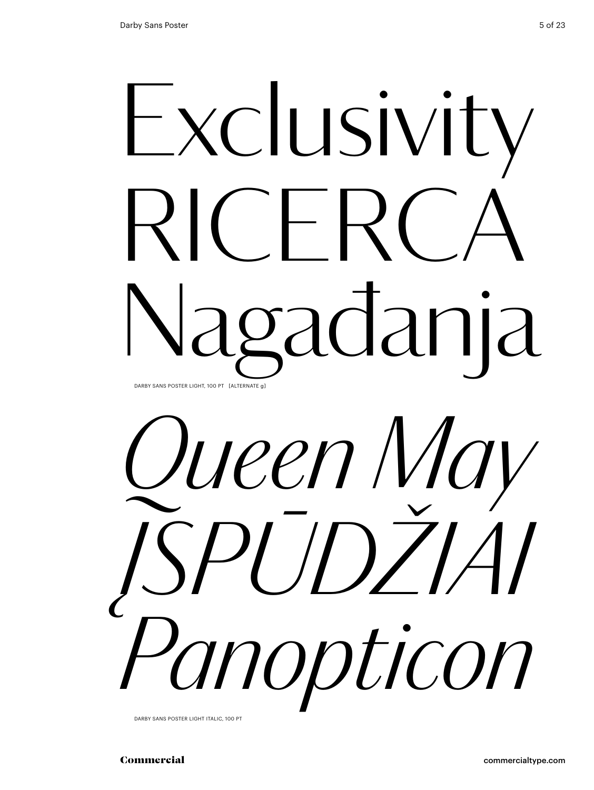## Exclusivity  $RICFR$ gađanja Darby Sans Poster light, 100 Pt [alternate g]



DARBY SANS POSTER LIGHT ITALIC, 100 PT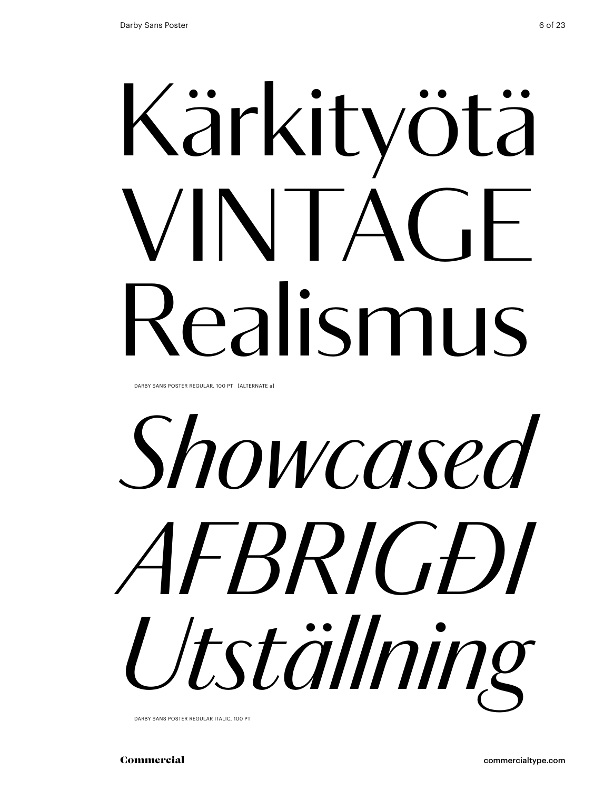# Kärkityötä VINTAGE Realismus

DARBY SANS POSTER REGULAR, 100 PT [ALTERNATE a]

*Showcased afbrigði Utställning*

Darby Sans Poster regular italic, 100 Pt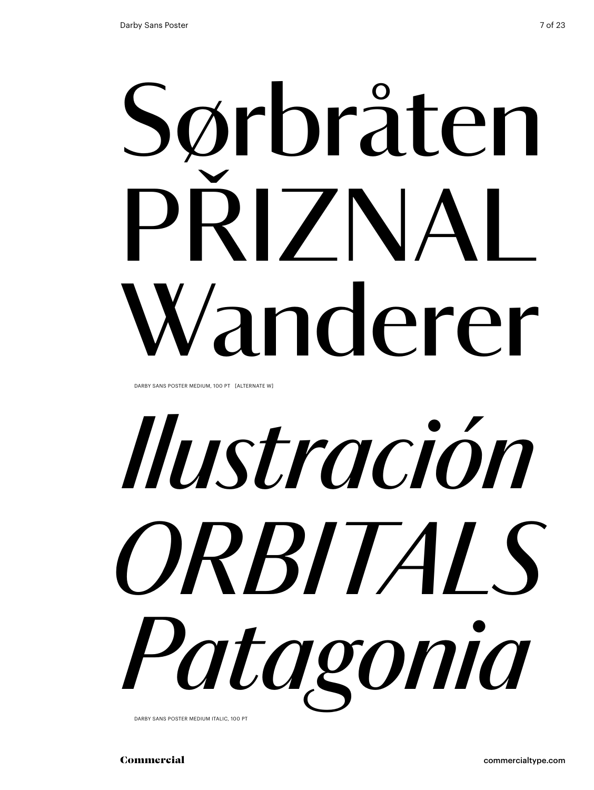# Sørbråten PRIZNAL Wanderer

DARBY SANS POSTER MEDIUM, 100 PT [ALTERNATE W]

# *Ilustración ORBITals Patagonia*

Darby Sans Poster medium italic, 100 Pt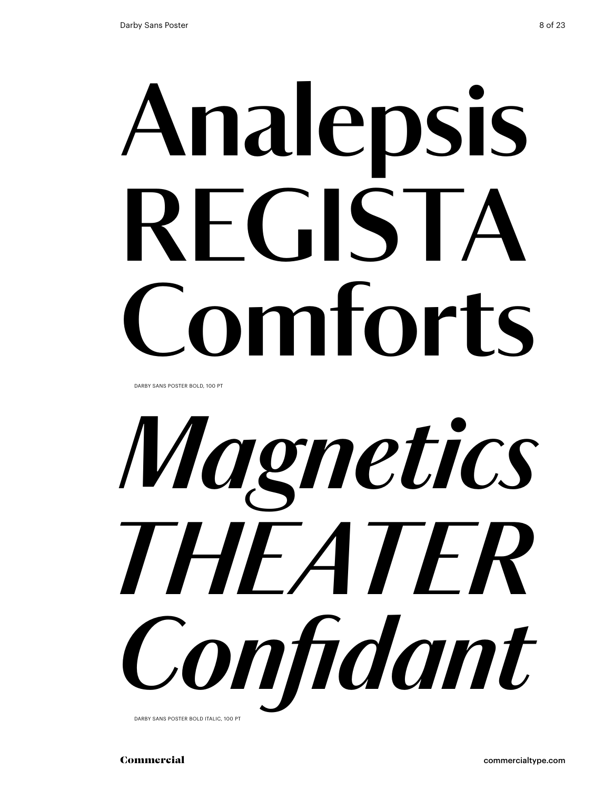# **Analepsis regista Comforts**

DARBY SANS POSTER BOLD, 100 PT



DARBY SANS POSTER BOLD ITALIC, 100 PT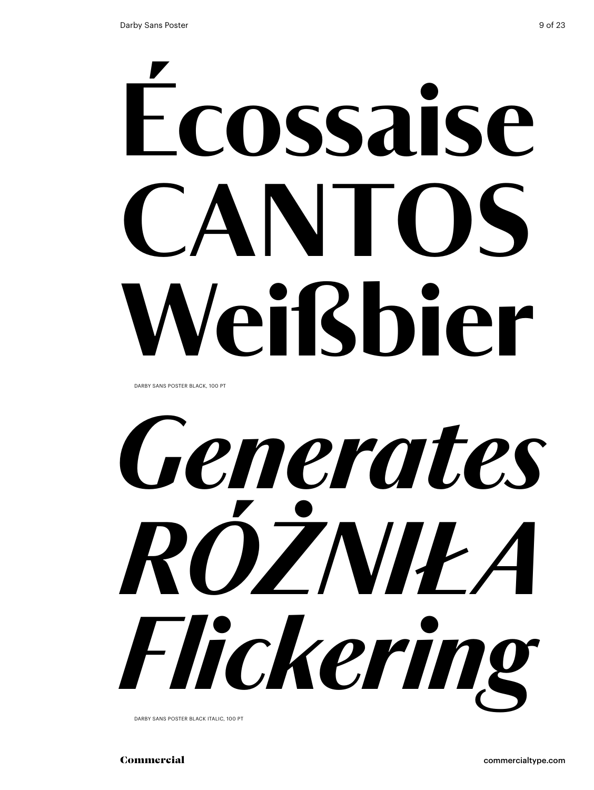# Écossaise CANIOS Weißbier

DARBY SANS POSTER BLACK, 100 PT



Darby Sans Poster black italic, 100 Pt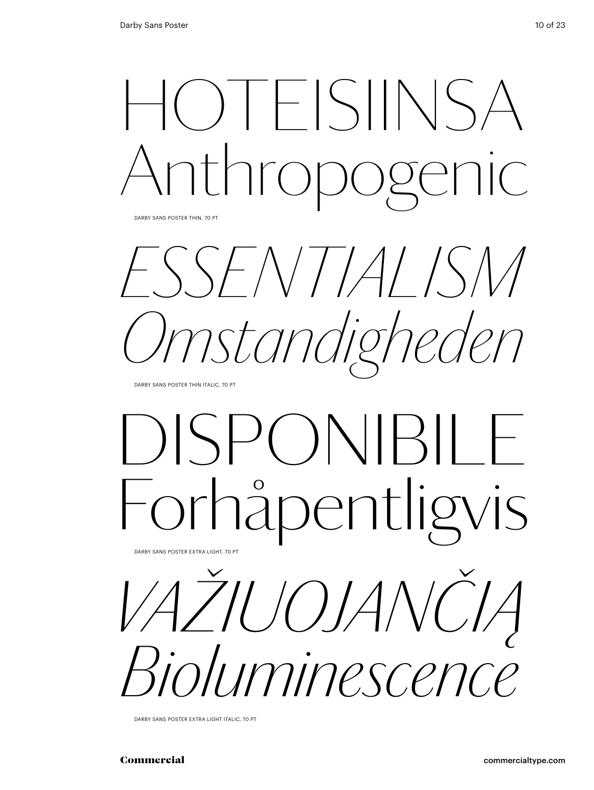

DARBY SANS POSTER THIN, 70 PT

*essentialism Omstandigheden*

DARBY SANS POSTER THIN ITALIC, 70 PT

## disponibile pentligvis

*Važiuojančią Bioluminescence* Darby Sans Poster Extra Light, 70 pt

Darby Sans Poster Extra Light Italic, 70 pt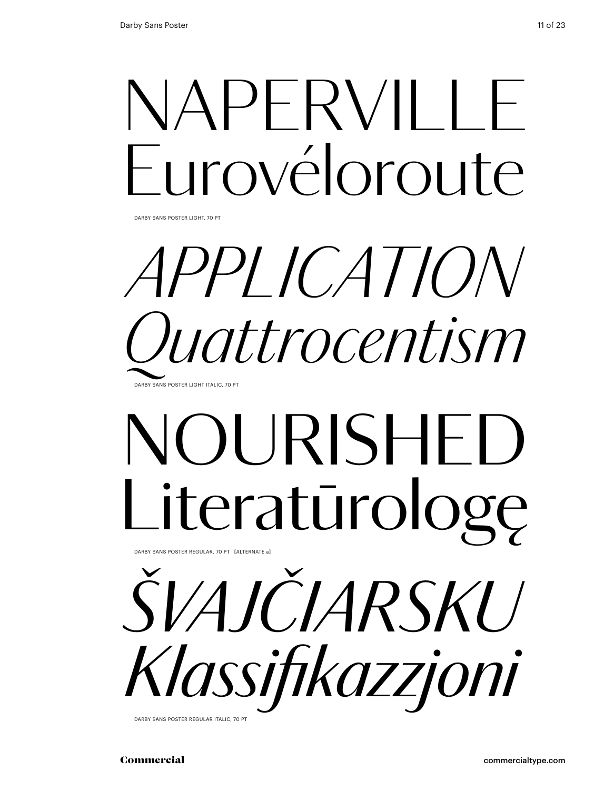## NAPERVILLE Eurovéloroute

Darby Sans Poster Light, 70 pt

### *application Quattrocentism* DARBY SANS POSTER LIGHT ITALIC, 70 P

## NOURISHED Literatūrologę

Darby Sans Poster regular, 70 pt [alternate a]



Darby Sans Poster regular italic, 70 pt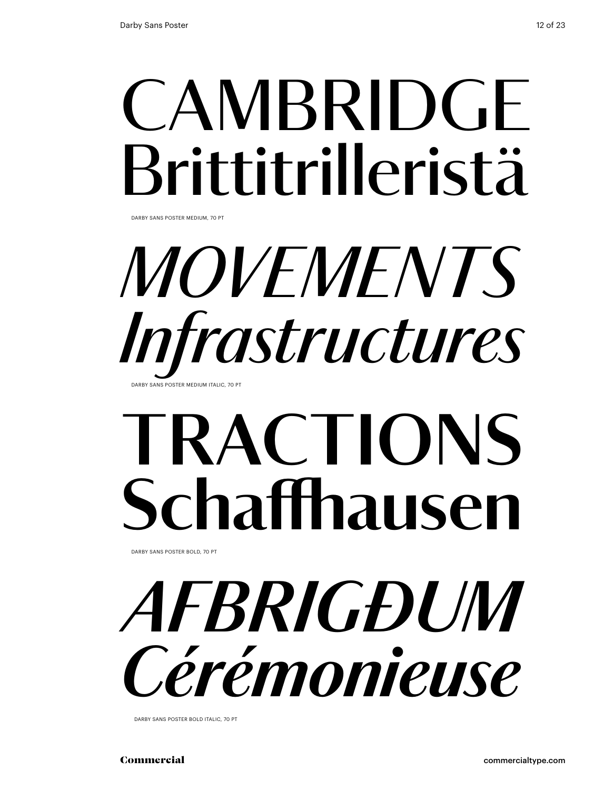## **CAMBRIDGE** Brittitrilleristä

Darby Sans Poster medium, 70 pt

### *MOVEMENTS Infrastructures* DARBY SANS POSTER MEDIUM ITALIC, 70

## **tRACTIONS Schaffhausen**

Darby Sans Poster bold, 70 pt

*afbrigðum Cérémonieuse*

Darby Sans Poster bold italic, 70 pt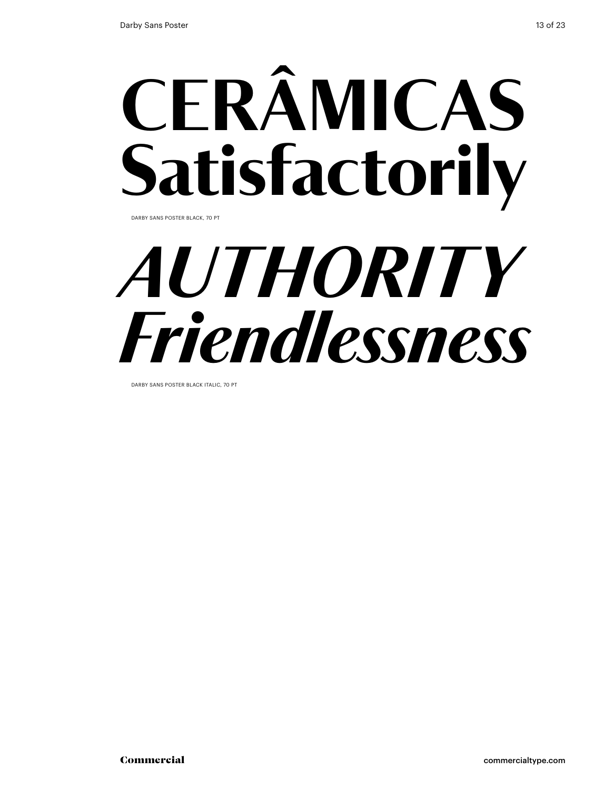## CERÂMICAS Satisfactorily

Darby Sans Poster black, 70 pt

## *authority Friendlessness*

Darby Sans Poster black italic, 70 pt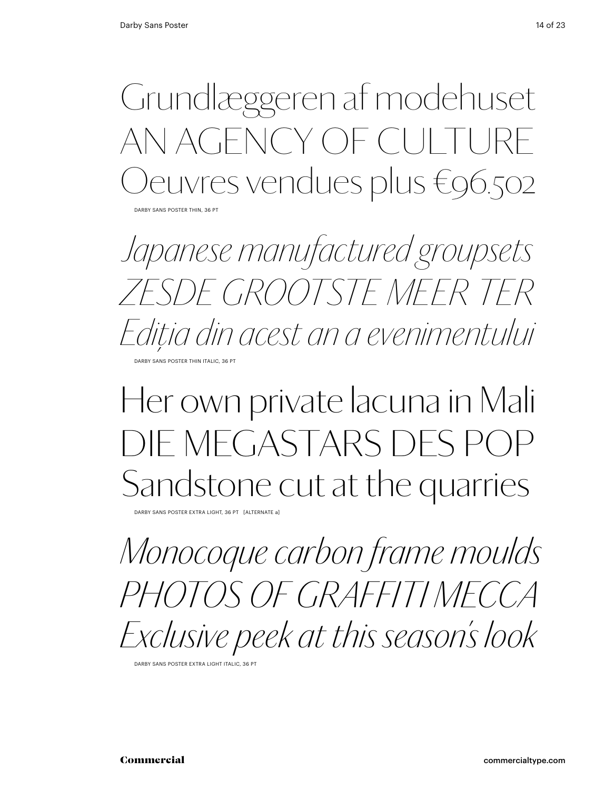Grundlæggeren af modehuset AN AGENCY OF CULT euvres vendues plus €96.502

DARBY SANS POSTER THIN, 36 PT

*Japanese manufactured groupsets Zesde grootste meer ter Ediţia din acest an a evenimentului* DARBY SANS POSTER THIN ITALIC, 36 PT

### Her own private lacuna in Mali Die Megastars des Pop Sandstone cut at the quarries

Darby Sans Poster Extra Light, 36 pt [alternate a]

*Monocoque carbon frame moulds Photos Of Graffiti Mecca Exclusive peek at this season's look*

Darby Sans Poster Extra Light Italic, 36 pt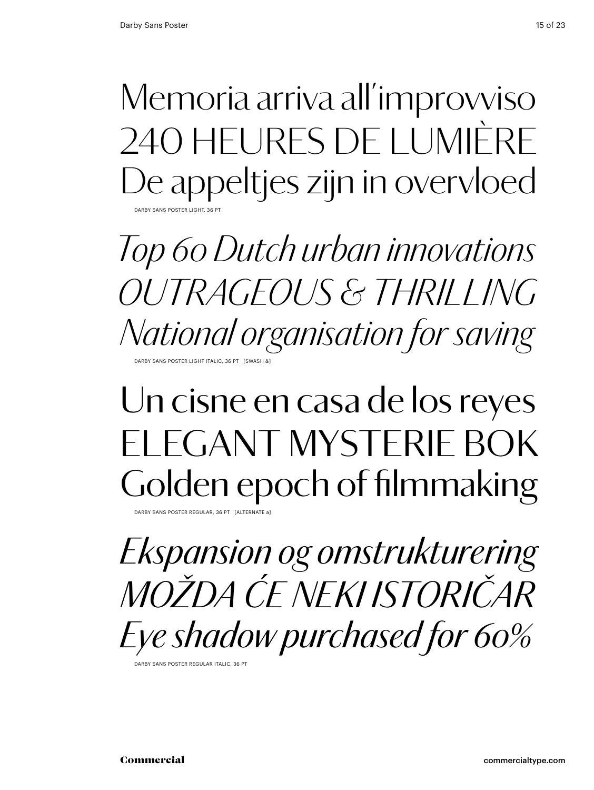Memoria arriva all'improvviso 240 heures de lumière De appeltjes zijn in overvloed DARBY SANS POSTER LIGHT, 36 P

*Top 60 Dutch urban innovations outrageous & thrilling National organisation for saving* DARBY SANS POSTER LIGHT ITALIC, 36 PT [SWASH &

### Un cisne en casa de los reyes FI FGANT MYSTERIE BOK Golden epoch of filmmaking

DARBY SANS POSTER REGULAR, 36 PT

*Ekspansion og omstrukturering Možda će neki istoričar Eye shadow purchased for 60%*

Darby Sans Poster Regular Italic, 36 pt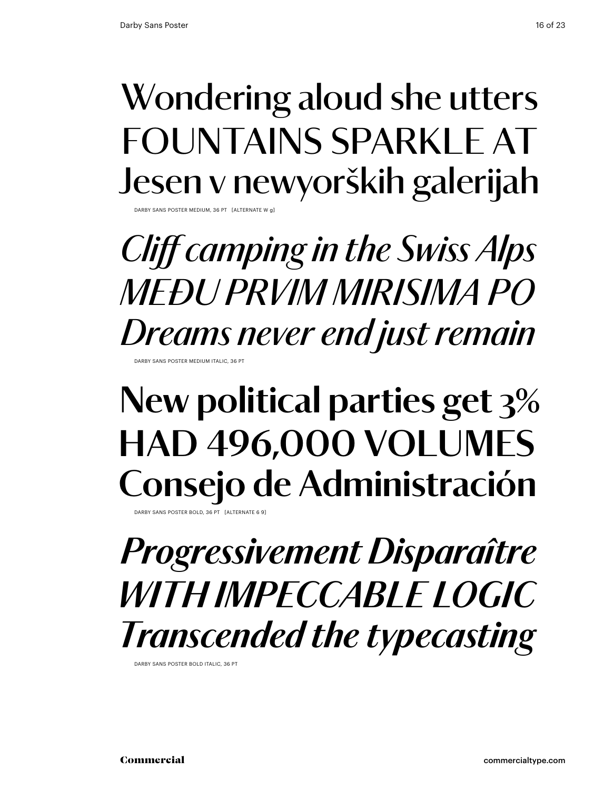### Wondering aloud she utters FOUNTAINS SPARKLE AT Jesen v newyorških galerijah Darby Sans Poster Medium, 36 pt [alternate w g]

*Cliff camping in the Swiss Alps Među prvim mirisima po Dreams never end just remain* Darby Sans Poster Medium Italic, 36 pt

### **New political parties get 3% had 496,000 volumes Consejo de Administración**

DARBY SANS POSTER BOLD, 36 PT

### *Progressivement Disparaître With impeccable logic Transcended the typecasting*

DARBY SANS POSTER BOLD ITALIC, 36 PT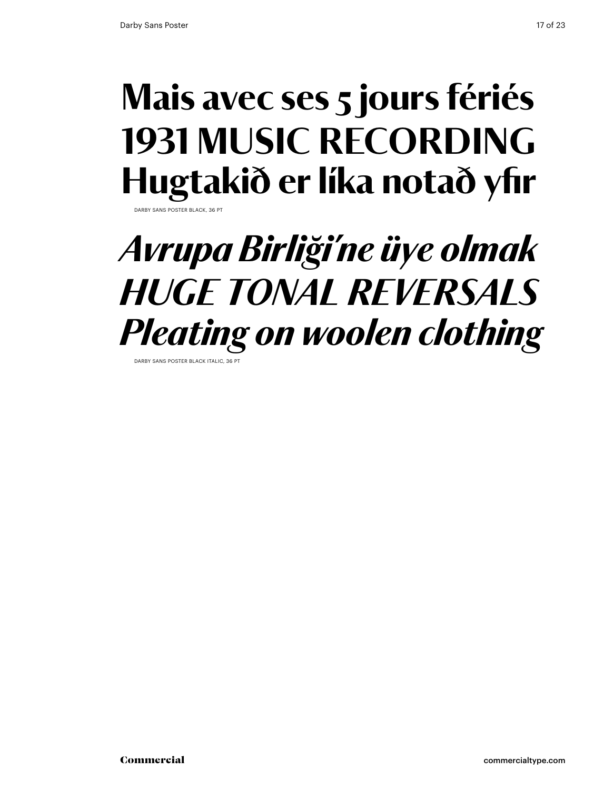### Mais avec ses 5 jours fériés 1931 MUSIC RECORDING Hugtakið er líka notað yfir Darby Sans Poster black, 36 pt

### *Avrupa Birliği'ne üye olmak huge tonal reversals Pleating on woolen clothing*

Darby Sans Poster black italic, 36 pt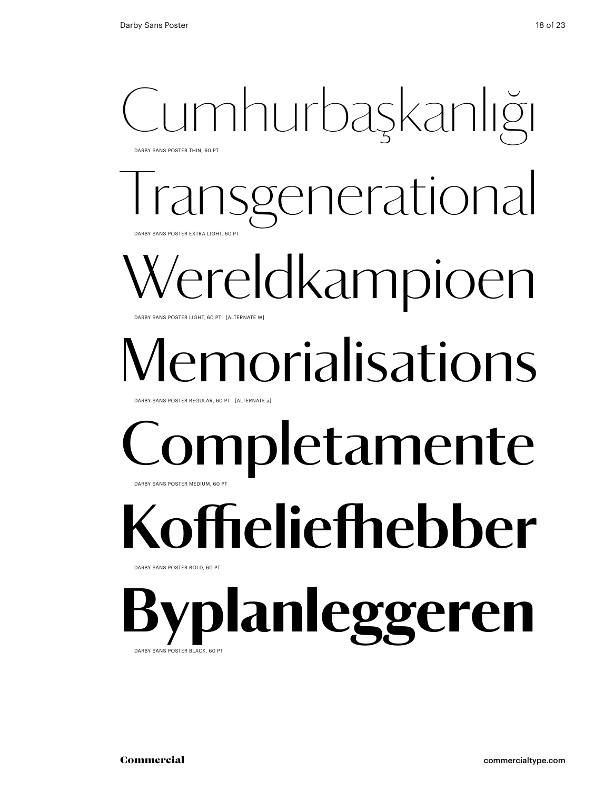### Cumhurbaşkanlığı Darby Sans Poster Thin, 60 Pt

enerational DARBY SANS POSTER EXTRA LIGHT, 60 PT

## 'ereldkampioen

DARBY SANS POSTER LIGHT, 60 PT [ALTERNATE W]

## norialisations

Darby Sans Poster Regular, 60 Pt [alternate a]

### **mpletamente** Darby Sans Poster Medium, 60 Pt

## **Koffieliefhebber**

DARBY SANS POSTER BOLD, 60 PT

lanleggeren DARBY SANS POSTER BLACK, 60 P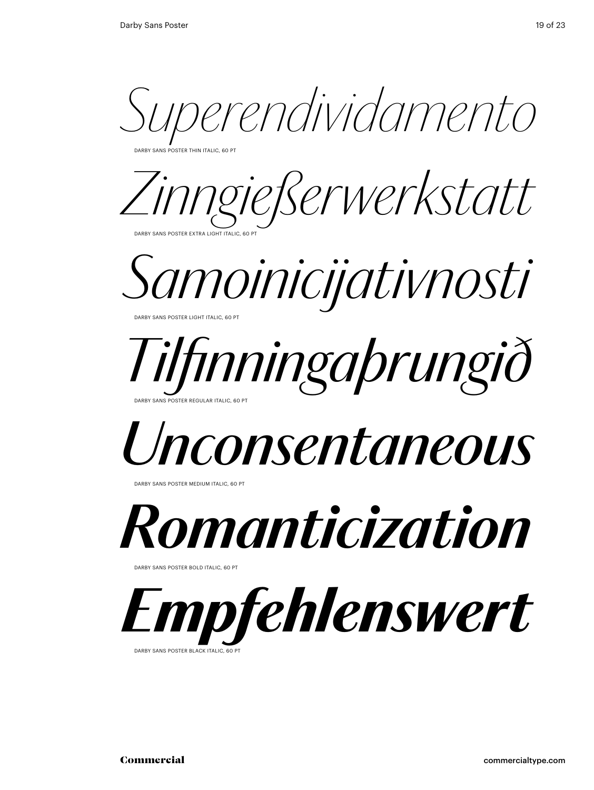*Superendividamento*

Darby Sans Poster Thin italic, 60 Pt

*Zinngießerwerkstatt* Darby Sans Poster Extra Light italic, 60 Pt



### *Tilfinningaþrungið* Darby Sans Poster Regular italic, 60 Pt

### *Unconsentaneous*

Darby Sans Poster Medium italic, 60 Pt



DARBY SANS POSTER BOLD ITALIC, 60 PT



DARBY SANS POSTER BLACK ITALIC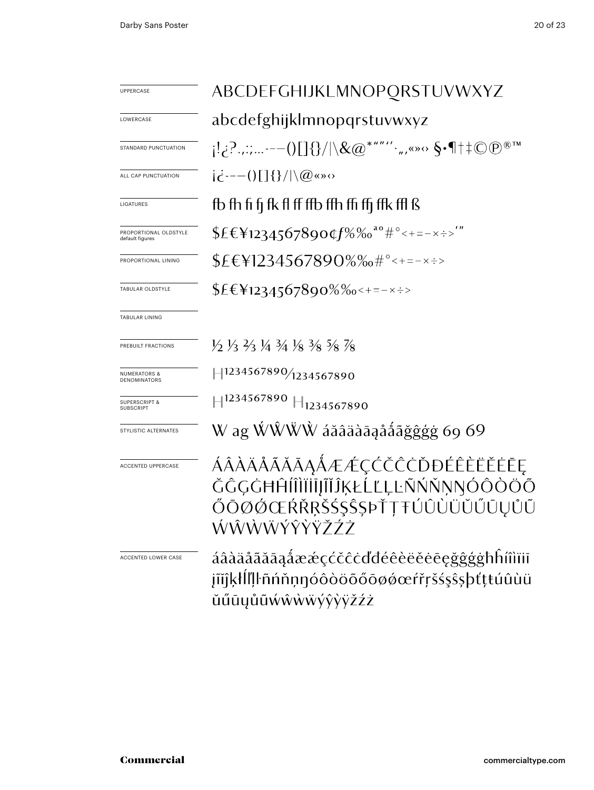| <b>UPPERCASE</b>                             | ABCDEFGHIJKLMNOPORSTUVWXYZ                                                                                                                |  |  |
|----------------------------------------------|-------------------------------------------------------------------------------------------------------------------------------------------|--|--|
| LOWERCASE                                    | abcdefghijklmnopqrstuvwxyz                                                                                                                |  |  |
| <b>STANDARD PUNCTUATION</b>                  | $\{C_{i_1}, C_{i_2}, \ldots, C_{i_{m-1}}\} \cup \{C_{i_1}, C_{i_2}, \ldots, C_{i_{m-1}}\} \cup \{C_{i_1}, C_{i_2}, \ldots, C_{i_{m-1}}\}$ |  |  |
| ALL CAP PUNCTUATION                          | $i\dot{\epsilon}$ ---()[]{}/ \@«»                                                                                                         |  |  |
| LIGATURES                                    | fb fh fi fi fk fl ff ffb ffh ffi ffi ffk ffl ß                                                                                            |  |  |
| PROPORTIONAL OLDSTYLE<br>default figures     | $$EE412345678900f\%$ % <sup>ao</sup> #°<+=-x÷>'"                                                                                          |  |  |
| PROPORTIONAL LINING                          | $$E$ <b>\eva</b> \$4567890%% \times= $*$                                                                                                  |  |  |
| TABULAR OLDSTYLE                             | $$EE_{1234567890\%}\%$ = = - x ÷ >                                                                                                        |  |  |
| <b>TABULAR LINING</b>                        |                                                                                                                                           |  |  |
| PREBUILT FRACTIONS                           | $\frac{1}{2}$ $\frac{1}{3}$ $\frac{1}{4}$ $\frac{1}{3}$ $\frac{1}{8}$ $\frac{1}{8}$ $\frac{1}{8}$ $\frac{1}{8}$ $\frac{1}{8}$             |  |  |
| <b>NUMERATORS &amp;</b><br>DENOMINATORS      | H1234567890/ <sub>1234567890</sub>                                                                                                        |  |  |
| <b>SUPERSCRIPT &amp;</b><br><b>SUBSCRIPT</b> | $\parallel$ 1234567890 $\parallel$ 1234567890                                                                                             |  |  |
| STYLISTIC ALTERNATES                         | W ag ŴŴŴŴ áăâäàāąååãǧĝģġ 69 69                                                                                                            |  |  |
| <b>ACCENTED UPPERCASE</b>                    | ÁÂÀÄÅÃĂĀĀĄÅÆÆÇĆČĈĊĎĐÉÊÈËĔĖĒĘ<br>ĞĜĢĠĦĤĺÎÌĬĪĬĨĬĴĶŁĹĽĻĿÑŃŇŅŊÓÔÒÖÕ<br>ŐŌØŐŒŔŘŖŠŚŞŜȘÞŤŢŦÚÛÙÜŬŰŪŲŮŨ<br>ŴŴŴŴŶŶŸŽŹŻ                              |  |  |
| ACCENTED LOWER CASE                          | áâàäåãăāaåææçćčĉċďđéêèëĕēeġĝĝģġħĥíîìïiī<br>jĩĭĵķłĺľļŀñńňņŋóôòöõőōøǿœŕřŗšśşŝşþťţŧúûùü<br>ŭűūyůũẃŵẁẅýŷỳÿžźż                                 |  |  |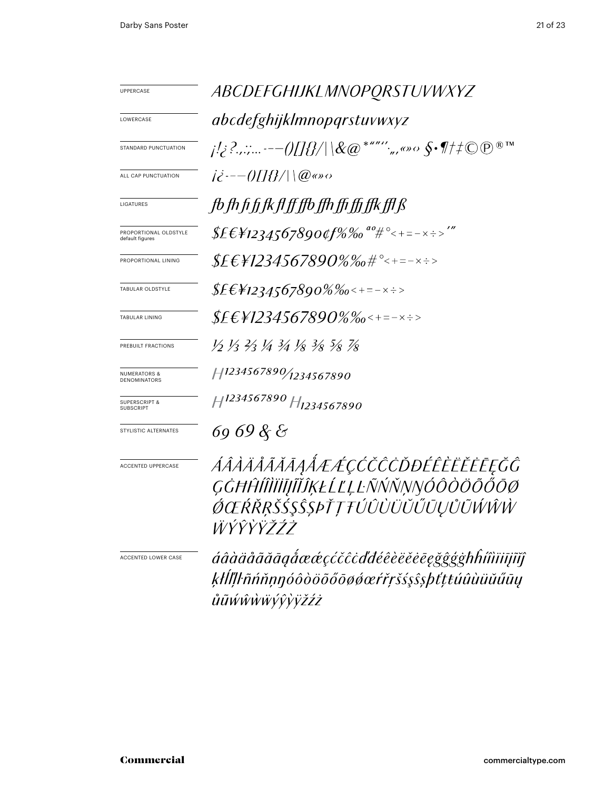| <b>UPPERCASE</b>                             | ABCDEFGHIJKLMNOPQRSTUVWXYZ                                                                                 |  |  |
|----------------------------------------------|------------------------------------------------------------------------------------------------------------|--|--|
| LOWERCASE                                    | abcdefghijklmnopqrstuvwxyz                                                                                 |  |  |
| <b>STANDARD PUNCTUATION</b>                  | j!¿?.,:;---()[]{}/ \&@*""'',,,«»<> $\S{\cdot}\P{\neq}\mathbb{O}$ @                                         |  |  |
| ALL CAP PUNCTUATION                          | $i\dot{\epsilon}$ :-- $0/1$ $\Omega$ $\mu$ $\infty$ $\infty$                                               |  |  |
| LIGATURES                                    | fb fh fi fi fk fl ff ffb ffh ffi ffi ffk ffl ß                                                             |  |  |
| PROPORTIONAL OLDSTYLE<br>default figures     | \$£€¥1234567890¢f%‰ <sup>ao</sup> #°<+=-×÷>'"                                                              |  |  |
| PROPORTIONAL LINING                          | $$EEY1234567890\%$ %#°<+=-x÷>                                                                              |  |  |
| TABULAR OLDSTYLE                             | $$EE_{1234567890\%}\%$ o<+=-x÷>                                                                            |  |  |
| TABULAR LINING                               |                                                                                                            |  |  |
| PREBUILT FRACTIONS                           | 12 13 23 14 34 18 3/8 5/8 7/8                                                                              |  |  |
| <b>NUMERATORS &amp;</b><br>DENOMINATORS      | H1234567890/ <sub>1234567890</sub>                                                                         |  |  |
| <b>SUPERSCRIPT &amp;</b><br><b>SUBSCRIPT</b> | H <sup>1234567890</sup> H <sub>1234567890</sub>                                                            |  |  |
| STYLISTIC ALTERNATES                         | 69 69 & &                                                                                                  |  |  |
| <b>ACCENTED UPPERCASE</b>                    | ÁÂÀÄÅÃĂĀĄÅÆÆÇĆČĈŎĐÉÊÈËĔĒĘĞĜ<br>ĢĠĦĤĺÎÌĬĬĬĨĬĨĶŁĹĽĻĿÑŃŇŅŊÓÔŎÖŐŐŌØ<br>ŐŒŔŘŖŠŚŞŜŞÞŤŢŦÚÛÙÜŬŰŨŲŮŨŴŴŴ<br>ŴŶŶŸŽŹŻ  |  |  |
| <b>ACCENTED LOWER CASE</b>                   | áâàäåãããāgåææçćčĉċďđéêèëĕēēgğĝģġħĥíîìïiījĩĭĵ<br>ķłĺľļŀñńňņŋóôòöõőōøøœŕřŗšśşŝşþťţŧúûùüŭűūy<br>ůũŵŵẁŵýŷỳÿžźż |  |  |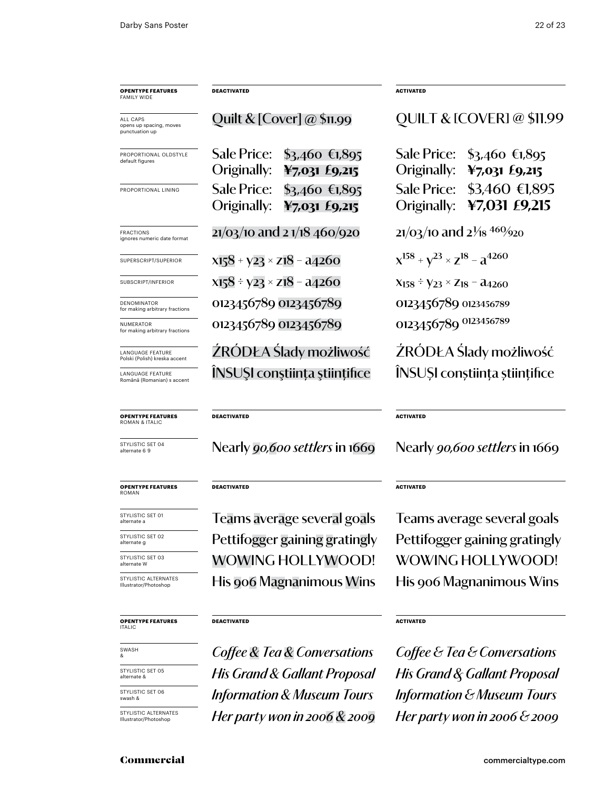| <b>OPENTYPE FEATURES</b><br>FAMILY WIDE                  | <b>DEACTIVATED</b>                                                      | <b>ACTIVATED</b>                                                 |
|----------------------------------------------------------|-------------------------------------------------------------------------|------------------------------------------------------------------|
| ALL CAPS<br>opens up spacing, moves<br>punctuation up    | Quilt & $[Cover] @ $11.99$                                              | <b>QUILT &amp; [COVER] @ \$11.99</b>                             |
| PROPORTIONAL OLDSTYLE<br>default figures                 | Sale Price:<br>$$3,460$ €1,895<br>Originally:<br>$47,031$ £9,215        | Sale Price:<br>$$3,460$ €1,895<br>Originally:<br>$47,031$ £9,215 |
| PROPORTIONAL LINING                                      | <b>Sale Price:</b><br>$$3,460$ €1,895<br>Originally:<br>$47,031$ £9,215 | \$3,460 €1,895<br>Sale Price:<br>¥7,031 £9,215<br>Originally:    |
| <b>FRACTIONS</b><br>ignores numeric date format          | $21/03/10$ and 2 $1/18$ 460/920                                         | $21/03/10$ and $2\frac{1}{8}$ 460/920                            |
| SUPERSCRIPT/SUPERIOR                                     | $x158 + y23 \times z18 - a4260$                                         | $x^{158} + y^{23} \times z^{18} - a^{4260}$                      |
| SUBSCRIPT/INFERIOR                                       | $x_{15}8 \div y_{23} \times z_{18} - a_{4}260$                          | $X_{158} \div Y_{23} \times Z_{18} - \lambda_{4260}$             |
| DENOMINATOR<br>for making arbitrary fractions            | 0123456789 0123456789                                                   | 0123456789 0123456789                                            |
| NUMERATOR<br>for making arbitrary fractions              | 0123456789 0123456789                                                   | 0123456789 0123456789                                            |
| <b>LANGUAGE FEATURE</b><br>Polski (Polish) kreska accent | ŹRÓDŁA Ślady możliwość                                                  | ŻRÓDŁA Ślady możliwość                                           |
| <b>LANGUAGE FEATURE</b><br>Română (Romanian) s accent    | INSUSI constiința științifice                                           | ÎNSUȘI conștiința științifice                                    |
| <b>OPENTYPE FEATURES</b><br>ROMAN & ITALIC               | <b>DEACTIVATED</b>                                                      | <b>ACTIVATED</b>                                                 |

Nearly *90,600 settlers* in 1669 Nearly *90,600 settlers* in 1669

#### **DEACTIVATED**

WoWing HollyWooD! WoWing HollyWooD! Pettifogger gaining gratingly Pettifogger gaining gratingly His 906 Magnanimous Wins His 906 Magnanimous Wins

#### **DEACTIVATED**

*Coffee & Tea & Conversations Coffee & Tea & Conversations Information & Museum Tours Information & Museum Tours His Grand & Gallant Proposal His Grand & Gallant Proposal*

#### **ACTIVATED**

Teams average several goals Teams average several goals

#### **ACTIVATED**

*Her party won in 2006 & 2009 Her party won in 2006 & 2009*

alternate a STYLISTIC SET 02 alternate g

**opentype FEATUREs** roman

STYLISTIC SET 01

STYLISTIC SET 04 alternate 6 9

STYLISTIC SET 03 alternate W

STYLISTIC ALTERNAT<br>Illustrator/Photoshop

#### **opentype FEATUREs** italic

swash &

STYLISTIC SET 05 alternate &

STYLISTIC SET 06 swash &

STYLISTIC ALTERNATES Illustrator/Photoshop